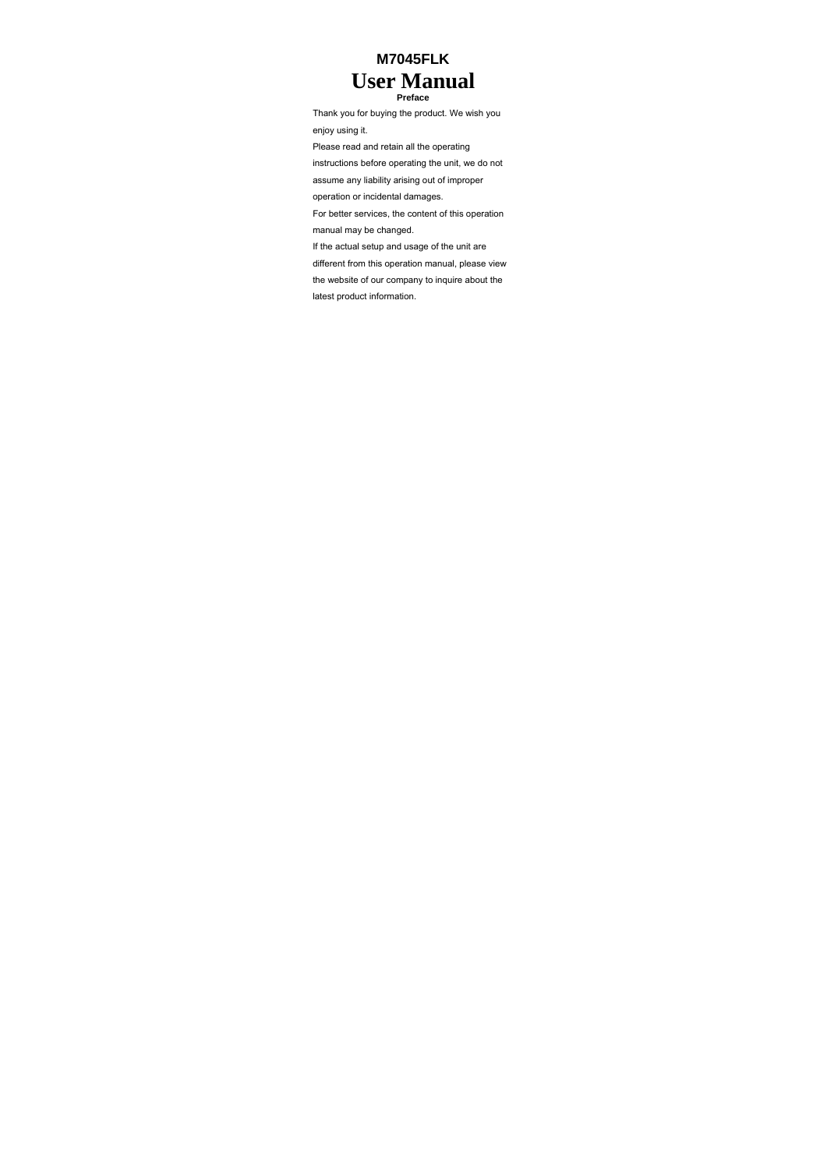# **M7045FLK User Manual Preface**

Thank you for buying the product. We wish you enjoy using it. Please read and retain all the operating

instructions before operating the unit, we do not assume any liability arising out of improper

operation or incidental damages.

For better services, the content of this operation manual may be changed.

If the actual setup and usage of the unit are

different from this operation manual, please view

the website of our company to inquire about the

latest product information.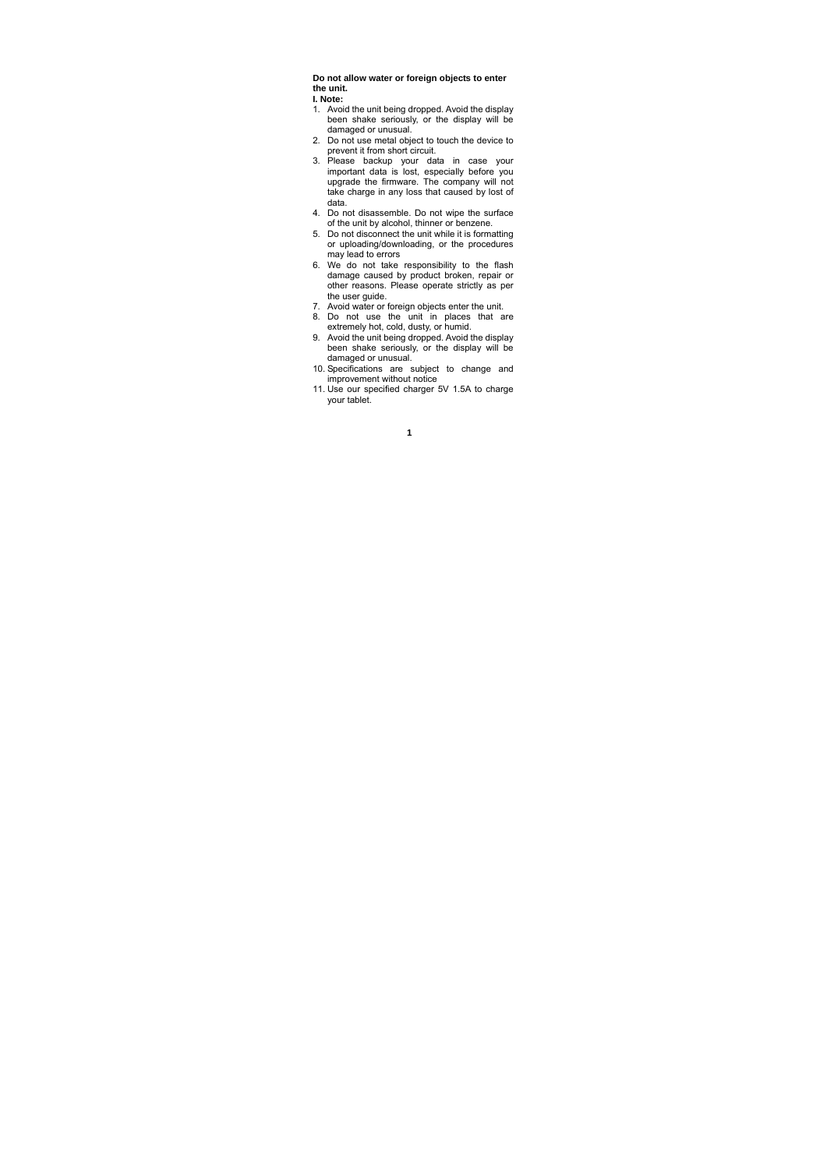**Do not allow water or foreign objects to enter the unit. I. Note:** 

- 1. Avoid the unit being dropped. Avoid the display been shake seriously, or the display will be damaged or unusual.
- 2. Do not use metal object to touch the device to
- prevent it from short circuit.<br>
3. Please backup your data in case your<br>
important data is lost, especially before you<br>
upgrade the firmware. The company will not<br>
take charge in any loss that caused by lost of data.
- 4. Do not disassemble. Do not wipe the surface of the unit by alcohol, thinner or benzene. 5. Do not disconnect the unit while it is formatting
- or uploading/downloading, or the procedures
- may lead to errors 6. We do not take responsibility to the flash damage caused by product broken, repair or other reasons. Please operate strictly as per the user guide.
- 
- 7. Avoid water or foreign objects enter the unit. 8. Do not use the unit in places that are extremely hot, cold, dusty, or humid.
- 9. Avoid the unit being dropped. Avoid the display been shake seriously, or the display will be damaged or unusual.
- 10. Specifications are subject to change and improvement without notice
- 11. Use our specified charger 5V 1.5A to charge your tablet.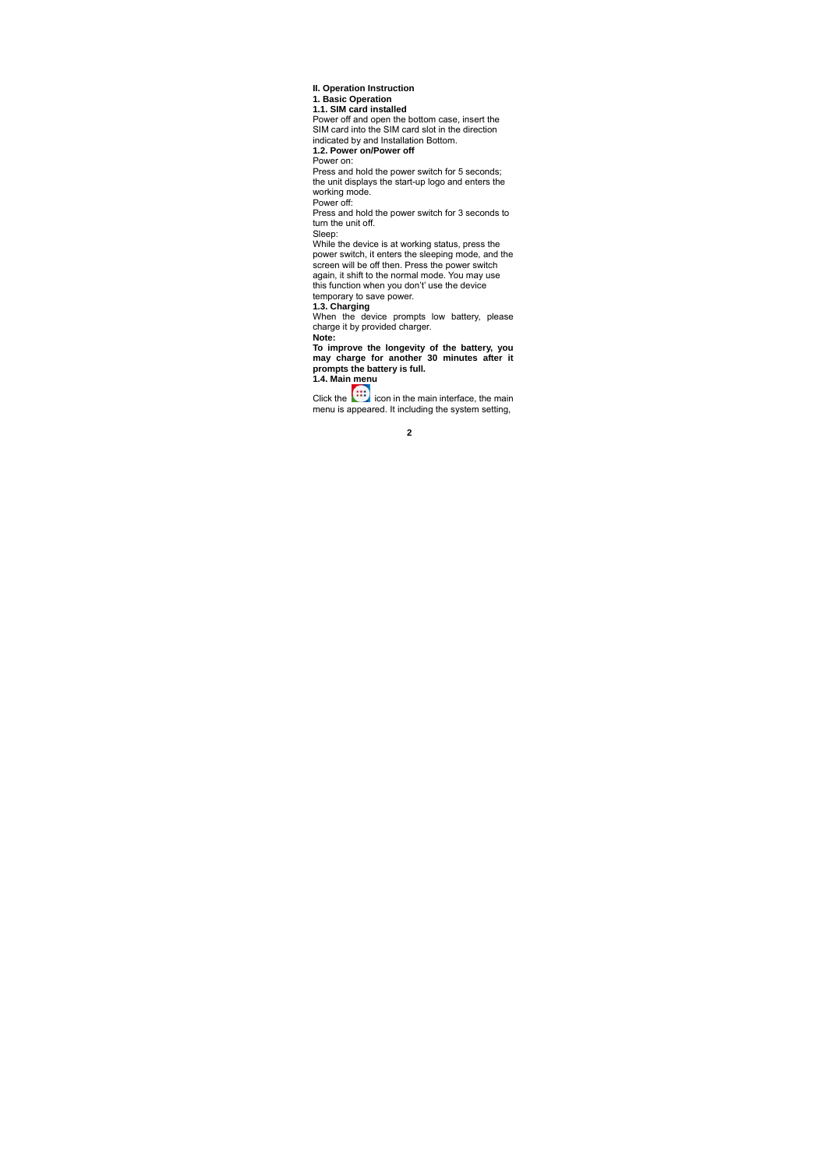**II. Operation Instruction 1. Basic Operation 1.1. SIM card installed**  Power off and open the bottom case, insert the SIM card into the SIM card slot in the direction indicated by and Installation Bottom. **1.2. Power on/Power off**  Power on: Press and hold the power switch for 5 seconds; the unit displays the start-up logo and enters the working mode. Power off: Press and hold the power switch for 3 seconds to turn the unit off. Sleep:<br>While the device is at working status, press the<br>While the device is at working status, press the<br>power switch, it enters the sleeping mode, and the<br>screen will be off then. Press the power switch<br>this function when **Note: To improve the longevity of the battery, you may charge for another 30 minutes after it prompts the battery is full. 1.4. Main menu** 

Click the **interface** icon in the main interface, the main menu is appeared. It including the system setting,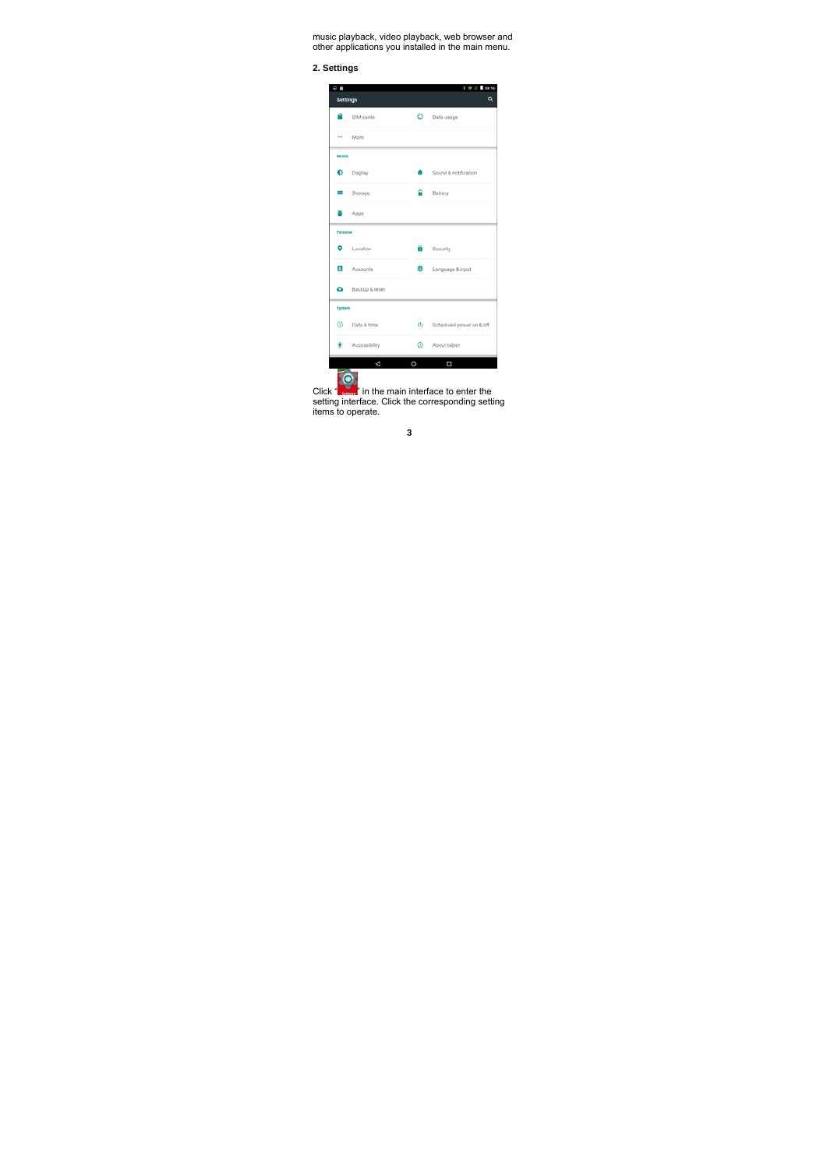music playback, video playback, web browser and other applications you installed in the main menu.

**2. Settings** 

| ö<br><b>Settings</b> |                 |         | 45<br>Q                  |  |  |
|----------------------|-----------------|---------|--------------------------|--|--|
|                      | SIM cards       | $\circ$ | Data usage               |  |  |
|                      | More            |         |                          |  |  |
| Device               |                 |         |                          |  |  |
| ۰                    | Display         |         | Sound & notification     |  |  |
|                      | Storage         |         | Battery                  |  |  |
|                      | Apps            |         |                          |  |  |
| Personal             |                 |         |                          |  |  |
| ۰                    | Location        | n       | Security                 |  |  |
|                      | Accounts        | в       | Language & input         |  |  |
| ۵                    | Backup & reset  |         |                          |  |  |
| System               |                 |         |                          |  |  |
| ⊙                    | Date & time     | Ø.      | Scheduled power on & off |  |  |
|                      | * Accessibility | ⊙.      | About tablet             |  |  |
|                      | ₫               | $\circ$ | $\Box$                   |  |  |

Click " **" in** the main interface to enter the<br>setting interface. Click the corresponding setting<br>items to operate.

| ×<br>I |
|--------|
|        |
| I      |
| ×      |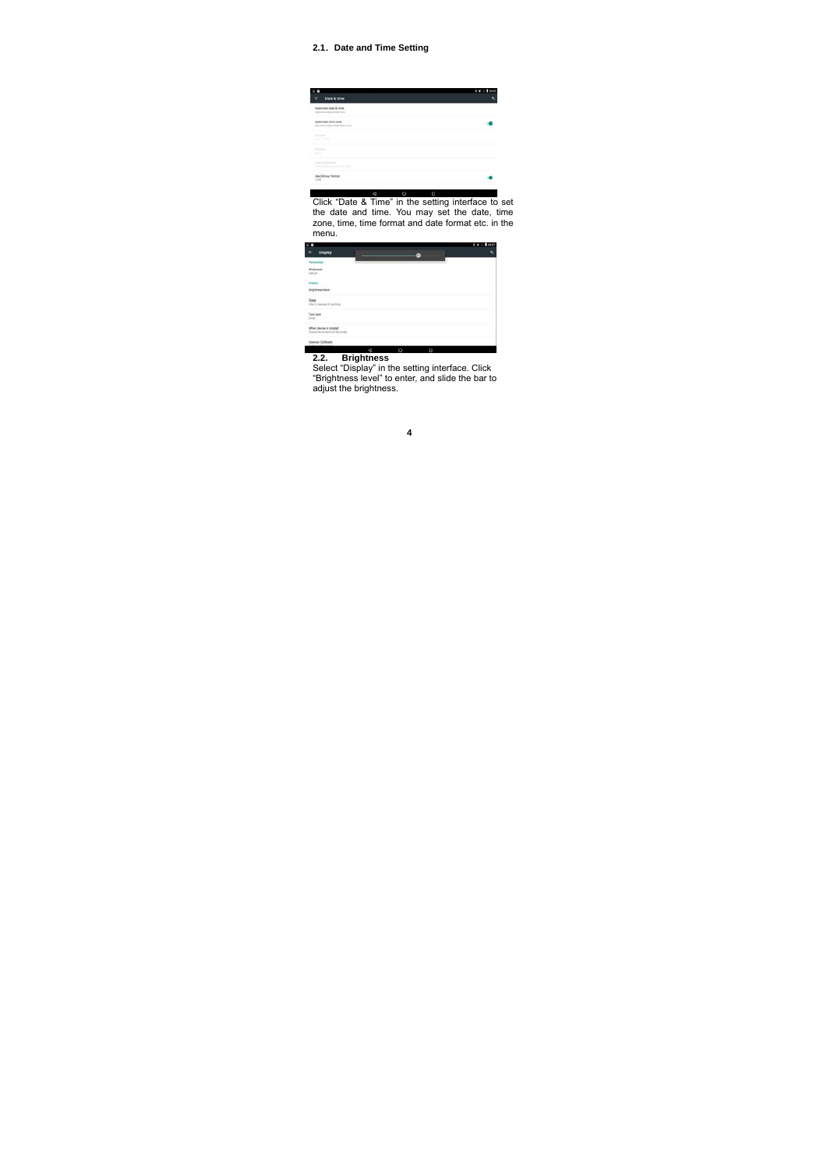### **2.1**.**Date and Time Setting**

| Date & time                                                                                                                                               |  |
|-----------------------------------------------------------------------------------------------------------------------------------------------------------|--|
| matter shalls & bone<br>attracted garments from                                                                                                           |  |
| <b><i><u>Informatic firms</u></i></b> score                                                                                                               |  |
| <b>Side Gallery</b><br><b>Service State</b>                                                                                                               |  |
| <b>San Source</b>                                                                                                                                         |  |
| and the first product of                                                                                                                                  |  |
| Jak 3 & August Transmiss                                                                                                                                  |  |
| d<br>$\circ$<br>Ω                                                                                                                                         |  |
| Click "Date & Time" in the setting interface to set<br>the date and time. You may set the date, time<br>zone time time format and date format etc. in the |  |

zone, time, time format and date format etc. in the menu.

|                                                                 | ۵ |
|-----------------------------------------------------------------|---|
|                                                                 |   |
| Personalist<br>Philippine<br>Totach                             |   |
|                                                                 |   |
| <b>Angelmas land</b>                                            |   |
| Slag<br>she i renom si rachio                                   |   |
| Fort size                                                       |   |
| When device is ratable!<br>Roberta the paintents of the govern- |   |
| <b>Dismose California</b>                                       |   |

**2.2. Brightness**  Select "Display" in the setting interface. Click "Brightness level" to enter, and slide the bar to adjust the brightness.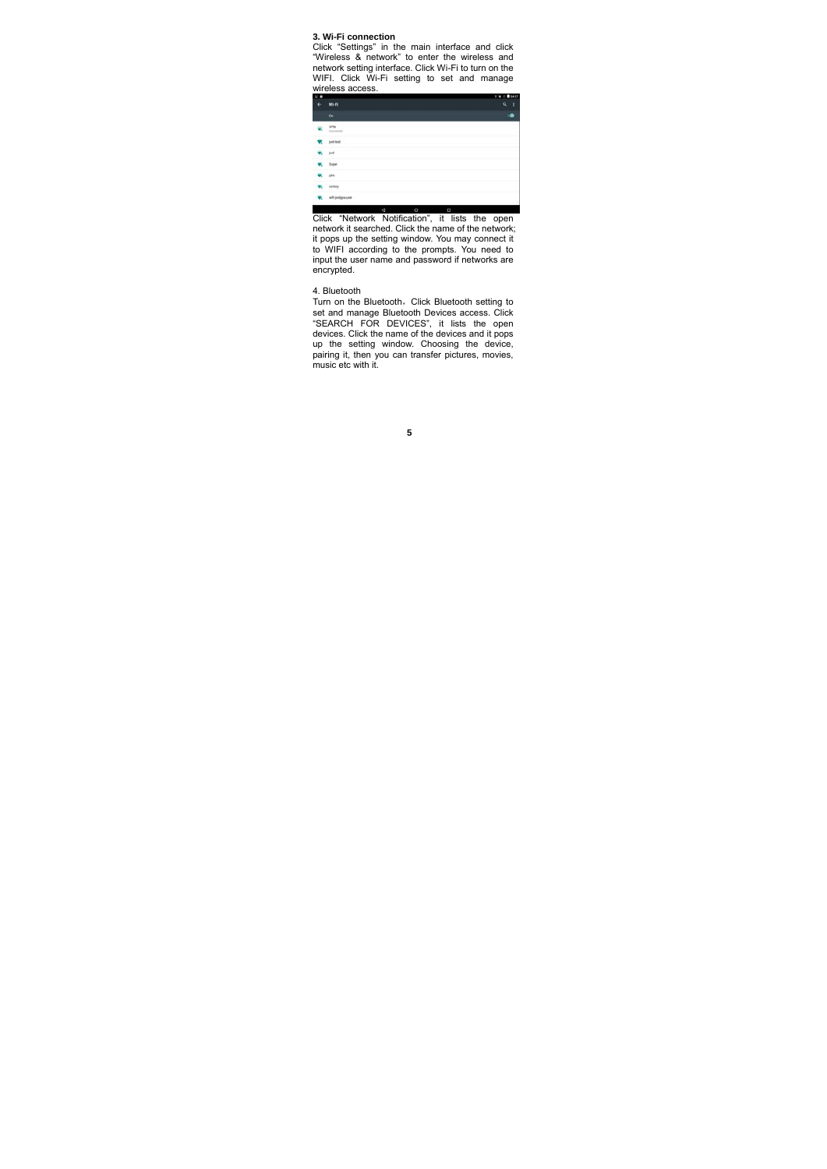**3. Wi-Fi connection**<br>
Click "Settings" in the main interface and click<br>
"Wireless & network" to enter the wireless and<br>
network setting interface. Click Wi-Fi to turn on the<br>
WIFI. Click Wi-Fi setting to set and manage wireless access.

|                        |   |   |   | 04.57  |
|------------------------|---|---|---|--------|
| <b>Wi-Fi</b><br>20,000 |   |   |   | ŧ<br>۰ |
| On                     |   |   |   |        |
|                        |   |   |   |        |
| - - - -<br>just last   |   |   |   |        |
| jнā                    |   |   |   |        |
|                        |   |   |   |        |
| m                      |   |   |   |        |
| carboy                 |   |   |   |        |
| whyedgreves.           |   |   |   |        |
|                        | d | Ö | O |        |

Click "Network Notification", it lists the open network it searched. Click the name of the network; it pops up the setting window. You may connect it to WIFI according to the prompts. You need to input the user name and password if networks are encrypted.

4. Bluetooth<br>Turn on the Bluetooth,Click Bluetooth setting to set and manage Bluetooth Devices access. Click<br>"SEARCH FOR DEVICES", it lists the open<br>devices. Click the name of the devices and it pops<br>up the setting window. Choosing the device,<br>pairing it, then you can transfer pictur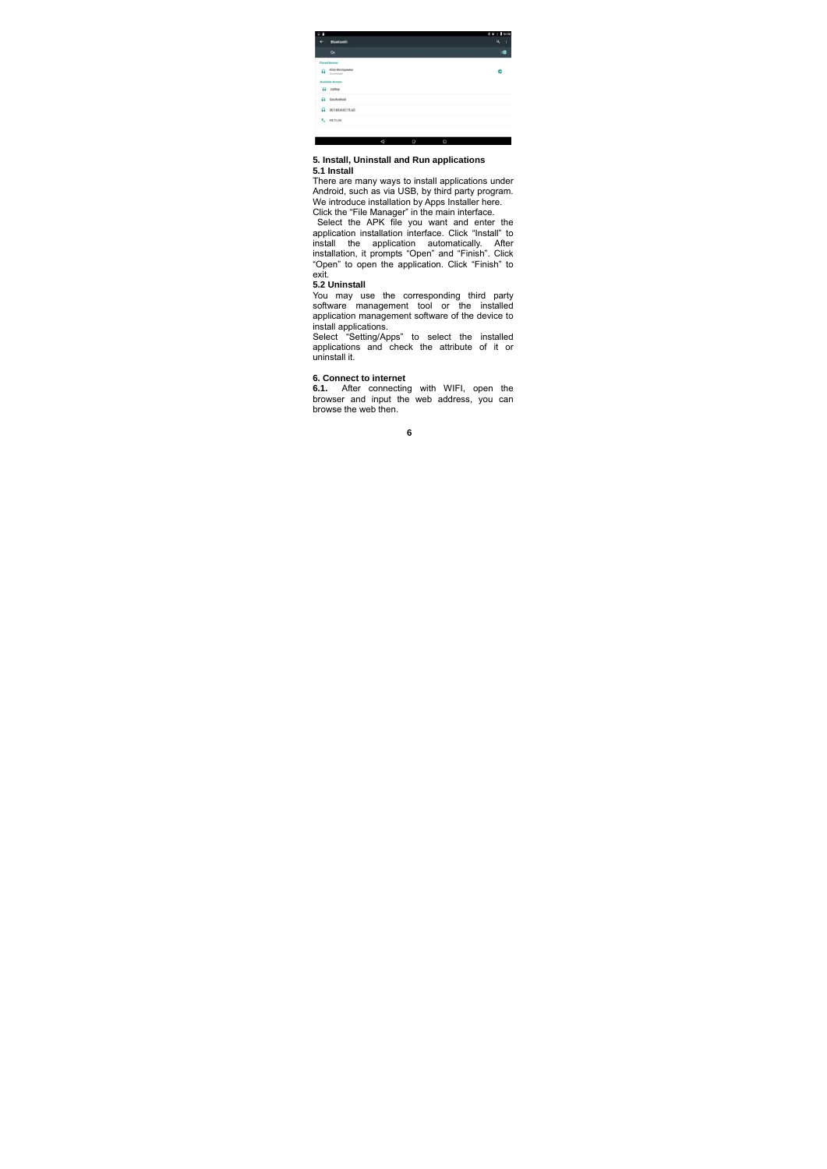

## **5. Install, Uninstall and Run applications**

**5.1 Install**<br>There are many ways to install applications under<br>Android, such as via USB, by third party program.<br>We introduce installation by Apps Installer here.<br>Click the "File Manager" in the main interface.<br>Select the

application installation interface. Click "Install" to install the application automatically. After installation, it prompts "Open" and "Finish". Click "Open" to open the application. Click "Finish" to exit.

### **5.2 Uninstall**

You may use the corresponding third party software management tool or the installed application management software of the device to

install applications. Select "Setting/Apps" to select the installed applications and check the attribute of it or uninstall it.

### **6. Connect to internet**

**6.1.** After connecting with WIFI, open the browser and input the web address, you can browse the web then.

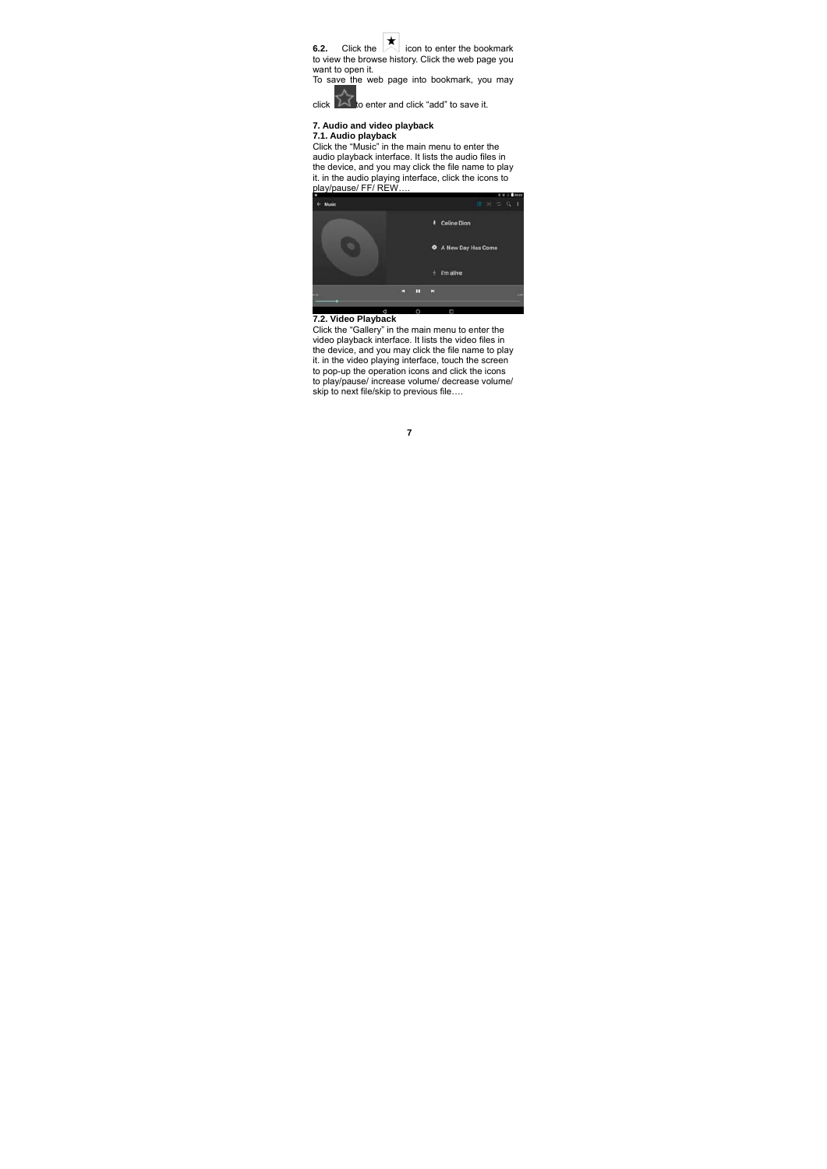**6.2.** Click the **come interpollant of the conter** the bookmark to view the browse history. Click the web page you want to open it. To save the web page into bookmark, you may

click  $\overline{\mathcal{M}}$  to enter and click "add" to save it.

## **7. Audio and video playback**

**7.1. Audio playback**<br>Click the "Music" in the main menu to enter the<br>audio playback interface. It lists the audio files in<br>the device, and you may click the file name to play<br>it. in the audio playing interface, click the



**7.2. Video Playback**<br>Click the "Gallery" in the main menu to enter the<br>video playback interface. It lists the video files in the device, and you may click the file name to play it. in the video playing interface, touch the screen to pop-up the operation icons and click the icons to play/pause/ increase volume/ decrease volume/ skip to next file/skip to previous file….

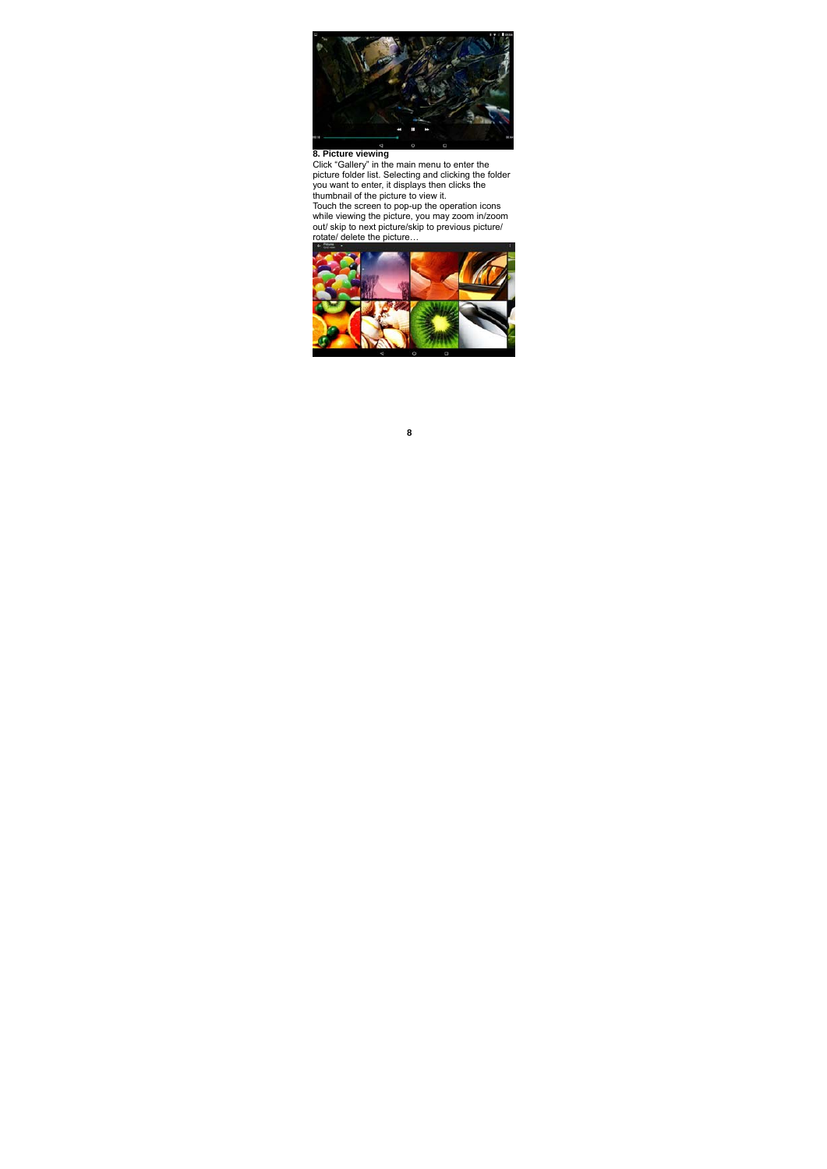

**8. Picture viewing**<br>Click "Gallery" in the main menu to enter the<br>picture folder list. Selecting and clicking the folder<br>you want to enter, it displays then clicks the<br>thumbnail of the picture to view it.<br>Touch the screen

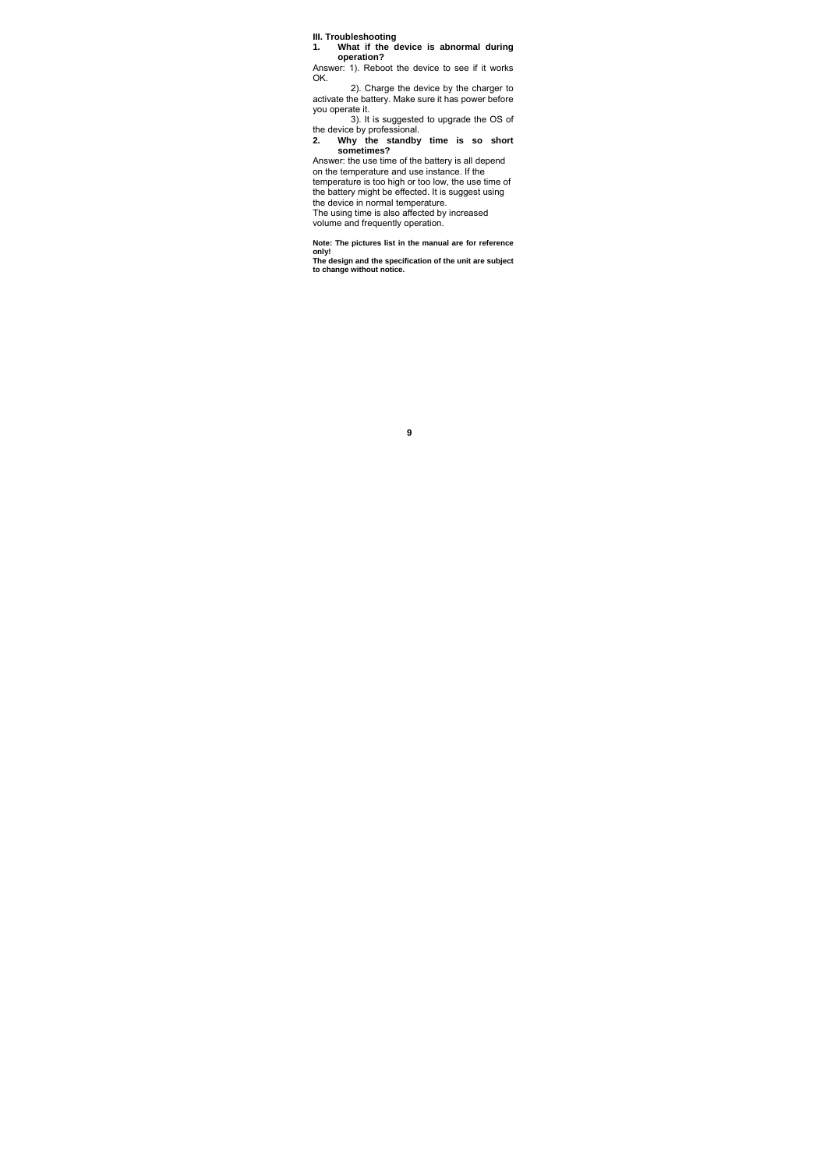**III. Troubleshooting 1. What if the device is abnormal during operation?** 

Answer: 1). Reboot the device to see if it works OK.

 2). Charge the device by the charger to activate the battery. Make sure it has power before you operate it.

3). It is suggested to upgrade the OS of the device by professional. **2. Why the standby time is so short sometimes?** 

Answer: the use time of the battery is all depend on the temperature and use instance. If the temperature is too high or too low, the use time of the battery might be effected. It is suggest using the device in normal temperature.

The using time is also affected by increased volume and frequently operation.

**Note: The pictures list in the manual are for reference** 

**only! The design and the specification of the unit are subject to change without notice.**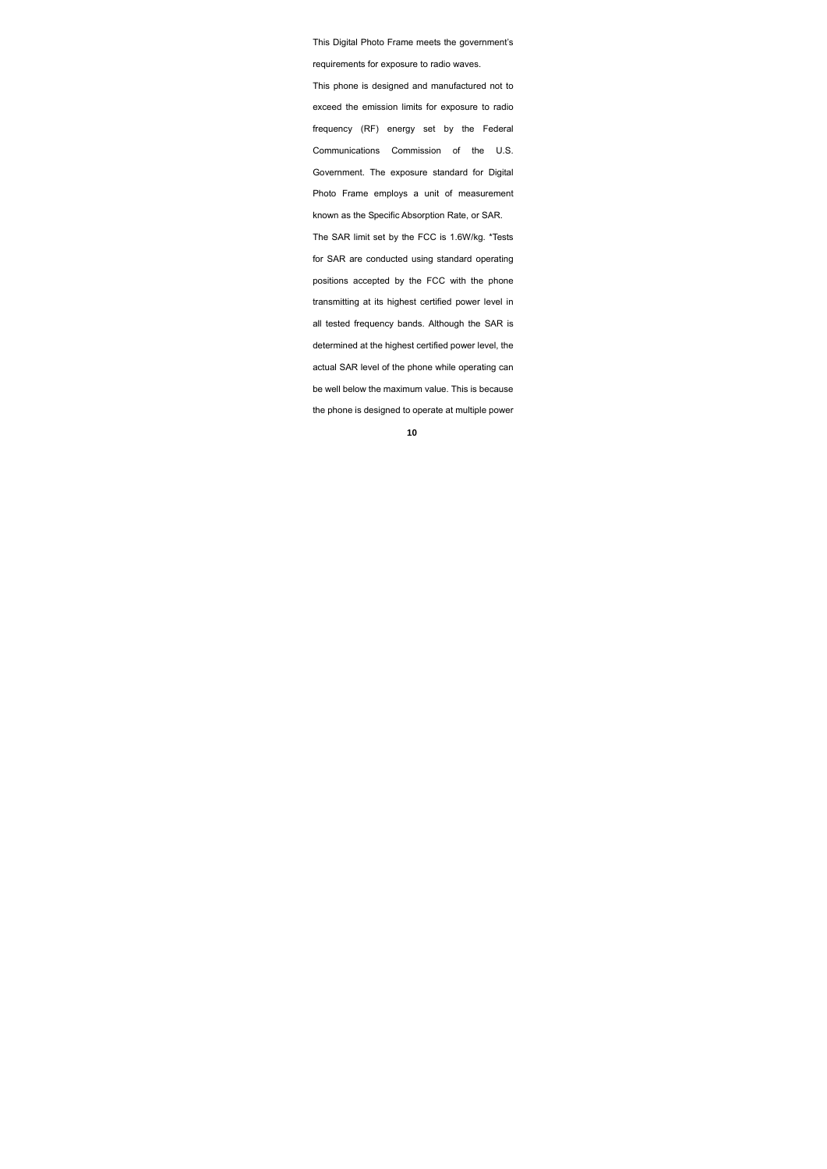This Digital Photo Frame meets the government's requirements for exposure to radio waves. This phone is designed and manufactured not to exceed the emission limits for exposure to radio frequency (RF) energy set by the Federal Communications Commission of the U.S. Government. The exposure standard for Digital Photo Frame employs a unit of measurement known as the Specific Absorption Rate, or SAR. The SAR limit set by the FCC is 1.6W/kg. \*Tests for SAR are conducted using standard operating positions accepted by the FCC with the phone transmitting at its highest certified power level in all tested frequency bands. Although the SAR is determined at the highest certified power level, the actual SAR level of the phone while operating can be well below the maximum value. This is because the phone is designed to operate at multiple power

**<sup>10</sup>**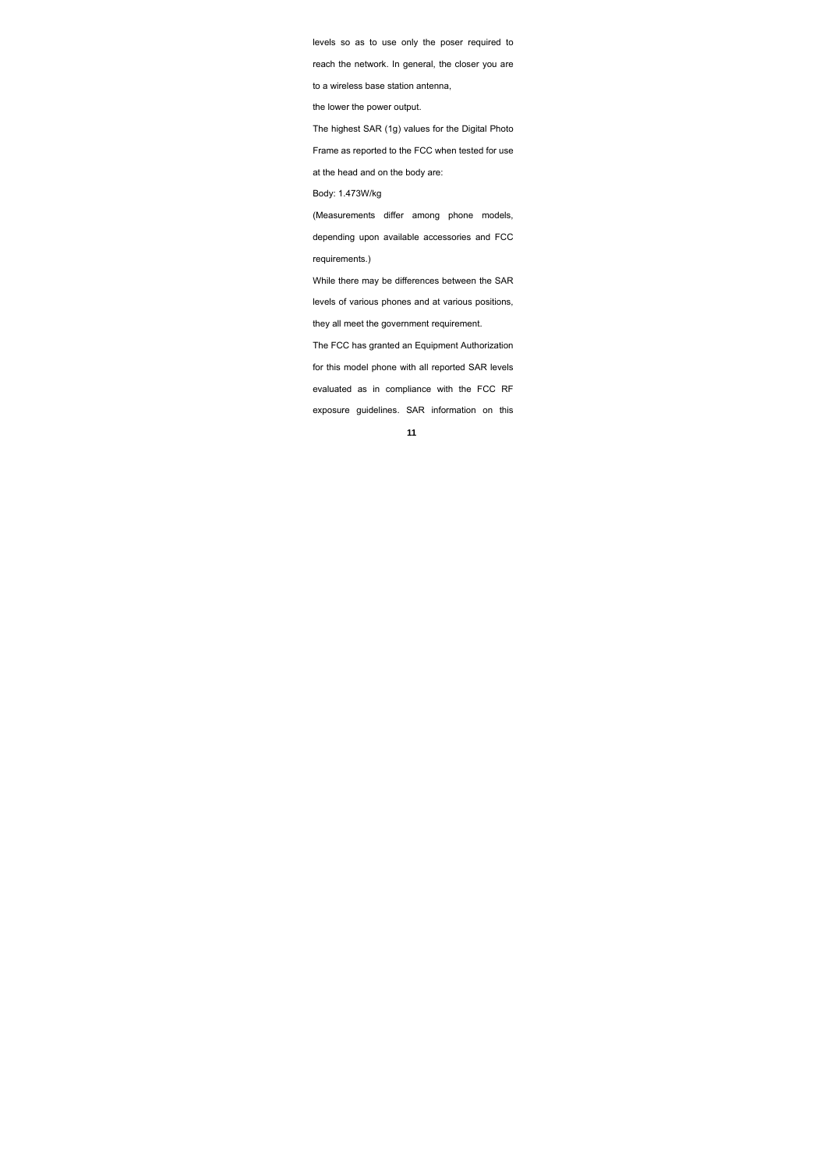levels so as to use only the poser required to

reach the network. In general, the closer you are

to a wireless base station antenna,

the lower the power output.

The highest SAR (1g) values for the Digital Photo

Frame as reported to the FCC when tested for use

at the head and on the body are:

Body: 1.473W/kg

(Measurements differ among phone models, depending upon available accessories and FCC requirements.)

While there may be differences between the SAR levels of various phones and at various positions, they all meet the government requirement.

The FCC has granted an Equipment Authorization for this model phone with all reported SAR levels evaluated as in compliance with the FCC RF exposure guidelines. SAR information on this

**<sup>11</sup>**